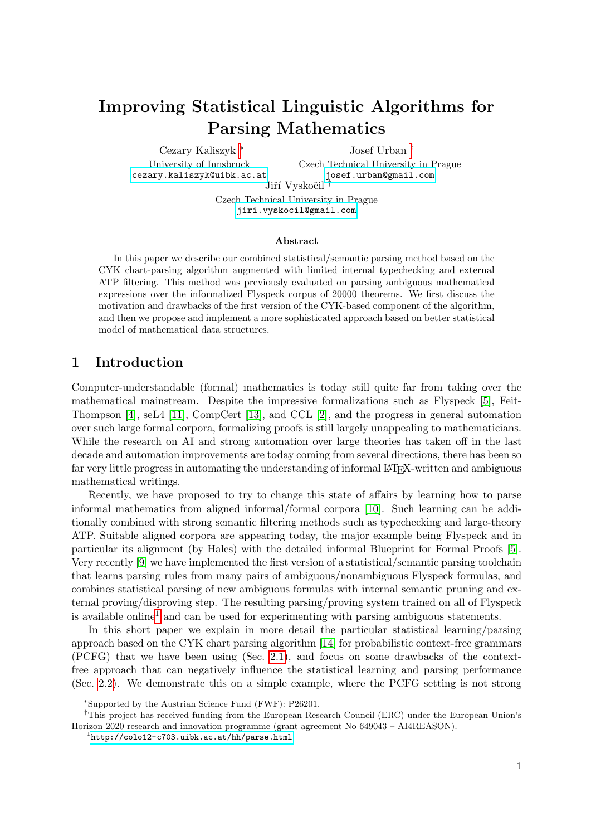# Improving Statistical Linguistic Algorithms for Parsing Mathematics

Cezary Kaliszyk <sup>∗</sup> University of Innsbruck <cezary.kaliszyk@uibk.ac.at>

Josef Urban † Czech Technical University in Prague <josef.urban@gmail.com>

Jiří Vyskočil

Czech Technical University in Prague <jiri.vyskocil@gmail.com>

#### Abstract

In this paper we describe our combined statistical/semantic parsing method based on the CYK chart-parsing algorithm augmented with limited internal typechecking and external ATP filtering. This method was previously evaluated on parsing ambiguous mathematical expressions over the informalized Flyspeck corpus of 20000 theorems. We first discuss the motivation and drawbacks of the first version of the CYK-based component of the algorithm, and then we propose and implement a more sophisticated approach based on better statistical model of mathematical data structures.

### 1 Introduction

Computer-understandable (formal) mathematics is today still quite far from taking over the mathematical mainstream. Despite the impressive formalizations such as Flyspeck [\[5\]](#page-8-0), Feit-Thompson [\[4\]](#page-8-1), seL4 [\[11\]](#page-8-2), CompCert [\[13\]](#page-8-3), and CCL [\[2\]](#page-8-4), and the progress in general automation over such large formal corpora, formalizing proofs is still largely unappealing to mathematicians. While the research on AI and strong automation over large theories has taken off in the last decade and automation improvements are today coming from several directions, there has been so far very little progress in automating the understanding of informal LAT<sub>EX</sub>-written and ambiguous mathematical writings.

Recently, we have proposed to try to change this state of affairs by learning how to parse informal mathematics from aligned informal/formal corpora [\[10\]](#page-8-5). Such learning can be additionally combined with strong semantic filtering methods such as typechecking and large-theory ATP. Suitable aligned corpora are appearing today, the major example being Flyspeck and in particular its alignment (by Hales) with the detailed informal Blueprint for Formal Proofs [\[5\]](#page-8-0). Very recently [\[9\]](#page-8-6) we have implemented the first version of a statistical/semantic parsing toolchain that learns parsing rules from many pairs of ambiguous/nonambiguous Flyspeck formulas, and combines statistical parsing of new ambiguous formulas with internal semantic pruning and external proving/disproving step. The resulting parsing/proving system trained on all of Flyspeck is available online<sup>[1](#page-0-0)</sup> and can be used for experimenting with parsing ambiguous statements.

In this short paper we explain in more detail the particular statistical learning/parsing approach based on the CYK chart parsing algorithm [\[14\]](#page-8-7) for probabilistic context-free grammars (PCFG) that we have been using (Sec. [2.1\)](#page-1-0), and focus on some drawbacks of the contextfree approach that can negatively influence the statistical learning and parsing performance (Sec. [2.2\)](#page-2-0). We demonstrate this on a simple example, where the PCFG setting is not strong

<sup>∗</sup>Supported by the Austrian Science Fund (FWF): P26201.

<sup>†</sup>This project has received funding from the European Research Council (ERC) under the European Union's Horizon 2020 research and innovation programme (grant agreement No 649043 – AI4REASON).

<span id="page-0-0"></span> $1$ <http://colo12-c703.uibk.ac.at/hh/parse.html>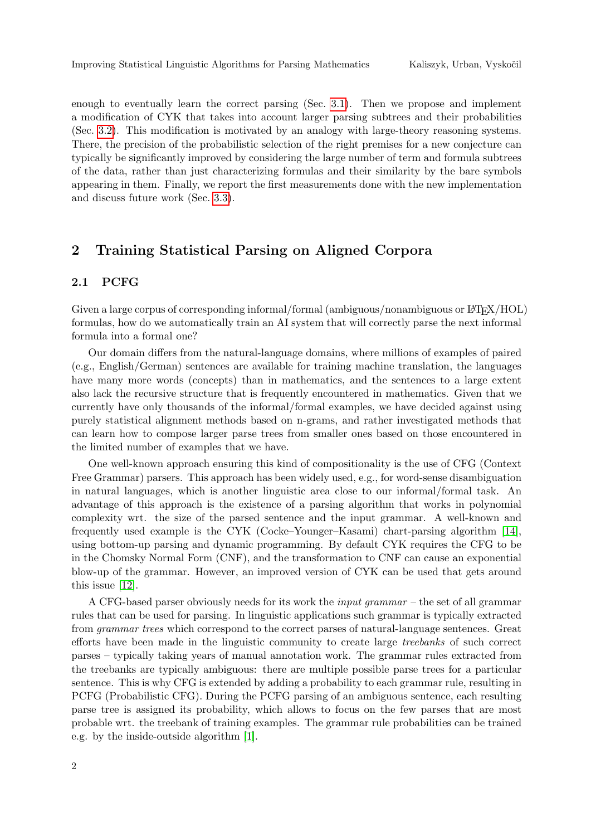enough to eventually learn the correct parsing (Sec. [3.1\)](#page-4-0). Then we propose and implement a modification of CYK that takes into account larger parsing subtrees and their probabilities (Sec. [3.2\)](#page-6-0). This modification is motivated by an analogy with large-theory reasoning systems. There, the precision of the probabilistic selection of the right premises for a new conjecture can typically be significantly improved by considering the large number of term and formula subtrees of the data, rather than just characterizing formulas and their similarity by the bare symbols appearing in them. Finally, we report the first measurements done with the new implementation and discuss future work (Sec. [3.3\)](#page-7-0).

## 2 Training Statistical Parsing on Aligned Corpora

### <span id="page-1-0"></span>2.1 PCFG

Given a large corpus of corresponding informal/formal (ambiguous/nonambiguous or LATEX/HOL) formulas, how do we automatically train an AI system that will correctly parse the next informal formula into a formal one?

Our domain differs from the natural-language domains, where millions of examples of paired (e.g., English/German) sentences are available for training machine translation, the languages have many more words (concepts) than in mathematics, and the sentences to a large extent also lack the recursive structure that is frequently encountered in mathematics. Given that we currently have only thousands of the informal/formal examples, we have decided against using purely statistical alignment methods based on n-grams, and rather investigated methods that can learn how to compose larger parse trees from smaller ones based on those encountered in the limited number of examples that we have.

One well-known approach ensuring this kind of compositionality is the use of CFG (Context Free Grammar) parsers. This approach has been widely used, e.g., for word-sense disambiguation in natural languages, which is another linguistic area close to our informal/formal task. An advantage of this approach is the existence of a parsing algorithm that works in polynomial complexity wrt. the size of the parsed sentence and the input grammar. A well-known and frequently used example is the CYK (Cocke–Younger–Kasami) chart-parsing algorithm [\[14\]](#page-8-7), using bottom-up parsing and dynamic programming. By default CYK requires the CFG to be in the Chomsky Normal Form (CNF), and the transformation to CNF can cause an exponential blow-up of the grammar. However, an improved version of CYK can be used that gets around this issue [\[12\]](#page-8-8).

A CFG-based parser obviously needs for its work the input grammar – the set of all grammar rules that can be used for parsing. In linguistic applications such grammar is typically extracted from grammar trees which correspond to the correct parses of natural-language sentences. Great efforts have been made in the linguistic community to create large treebanks of such correct parses – typically taking years of manual annotation work. The grammar rules extracted from the treebanks are typically ambiguous: there are multiple possible parse trees for a particular sentence. This is why CFG is extended by adding a probability to each grammar rule, resulting in PCFG (Probabilistic CFG). During the PCFG parsing of an ambiguous sentence, each resulting parse tree is assigned its probability, which allows to focus on the few parses that are most probable wrt. the treebank of training examples. The grammar rule probabilities can be trained e.g. by the inside-outside algorithm [\[1\]](#page-8-9).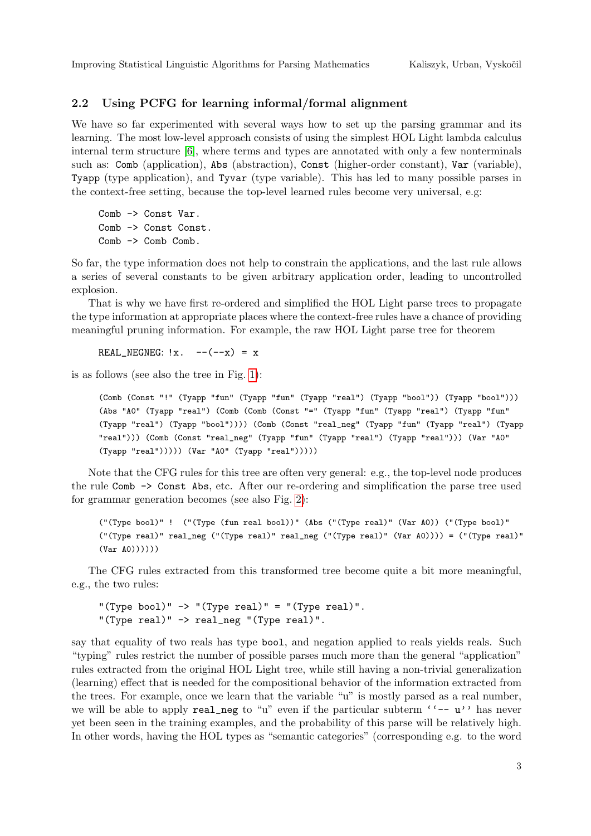### <span id="page-2-0"></span>2.2 Using PCFG for learning informal/formal alignment

We have so far experimented with several ways how to set up the parsing grammar and its learning. The most low-level approach consists of using the simplest HOL Light lambda calculus internal term structure [\[6\]](#page-8-10), where terms and types are annotated with only a few nonterminals such as: Comb (application), Abs (abstraction), Const (higher-order constant), Var (variable), Tyapp (type application), and Tyvar (type variable). This has led to many possible parses in the context-free setting, because the top-level learned rules become very universal, e.g:

Comb -> Const Var. Comb -> Const Const. Comb -> Comb Comb.

So far, the type information does not help to constrain the applications, and the last rule allows a series of several constants to be given arbitrary application order, leading to uncontrolled explosion.

That is why we have first re-ordered and simplified the HOL Light parse trees to propagate the type information at appropriate places where the context-free rules have a chance of providing meaningful pruning information. For example, the raw HOL Light parse tree for theorem

REAL\_NEGNEG:  $!x. \quad --(-x) = x$ 

is as follows (see also the tree in Fig. [1\)](#page-3-0):

```
(Comb (Const "!" (Tyapp "fun" (Tyapp "fun" (Tyapp "real") (Tyapp "bool")) (Tyapp "bool")))
(Abs "A0" (Tyapp "real") (Comb (Comb (Const "=" (Tyapp "fun" (Tyapp "real") (Tyapp "fun"
(Tyapp "real") (Tyapp "bool")))) (Comb (Const "real_neg" (Tyapp "fun" (Tyapp "real") (Tyapp
"real"))) (Comb (Const "real_neg" (Tyapp "fun" (Tyapp "real") (Tyapp "real"))) (Var "A0"
(Tyapp "real"))))) (Var "A0" (Tyapp "real")))))
```
Note that the CFG rules for this tree are often very general: e.g., the top-level node produces the rule Comb -> Const Abs, etc. After our re-ordering and simplification the parse tree used for grammar generation becomes (see also Fig. [2\)](#page-4-1):

("(Type bool)" ! ("(Type (fun real bool))" (Abs ("(Type real)" (Var A0)) ("(Type bool)" ("(Type real)" real\_neg ("(Type real)" real\_neg ("(Type real)" (Var A0)))) = ("(Type real)"  $(Var A(0))))$ 

The CFG rules extracted from this transformed tree become quite a bit more meaningful, e.g., the two rules:

"(Type bool)"  $\rightarrow$  "(Type real)" = "(Type real)". "(Type real)" -> real\_neg "(Type real)".

say that equality of two reals has type bool, and negation applied to reals yields reals. Such "typing" rules restrict the number of possible parses much more than the general "application" rules extracted from the original HOL Light tree, while still having a non-trivial generalization (learning) effect that is needed for the compositional behavior of the information extracted from the trees. For example, once we learn that the variable "u" is mostly parsed as a real number, we will be able to apply real\_neg to "u" even if the particular subterm  $\cdot \cdot - u$ " has never yet been seen in the training examples, and the probability of this parse will be relatively high. In other words, having the HOL types as "semantic categories" (corresponding e.g. to the word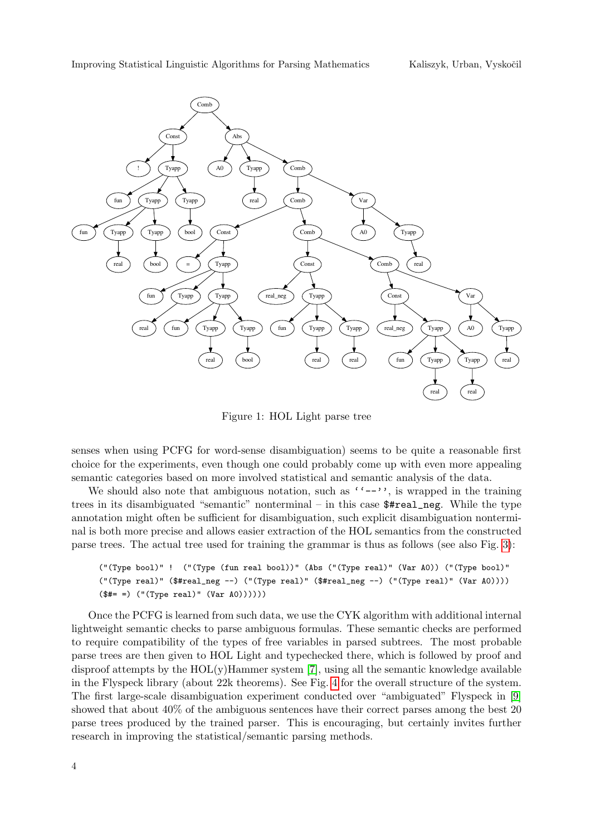<span id="page-3-0"></span>

Figure 1: HOL Light parse tree

senses when using PCFG for word-sense disambiguation) seems to be quite a reasonable first choice for the experiments, even though one could probably come up with even more appealing semantic categories based on more involved statistical and semantic analysis of the data.

We should also note that ambiguous notation, such as  $(2-i)$ , is wrapped in the training trees in its disambiguated "semantic" nonterminal – in this case \$#real\_neg. While the type annotation might often be sufficient for disambiguation, such explicit disambiguation nonterminal is both more precise and allows easier extraction of the HOL semantics from the constructed parse trees. The actual tree used for training the grammar is thus as follows (see also Fig. [3\)](#page-5-0):

```
("(Type bool)" ! ("(Type (fun real bool))" (Abs ("(Type real)" (Var A0)) ("(Type bool)"
("(Type real)" ($#real_neg --) ("(Type real)" ($#real_neg --) ("(Type real)" (Var A0))))
($#= =) ("(Type real)" (Var A0))))))
```
Once the PCFG is learned from such data, we use the CYK algorithm with additional internal lightweight semantic checks to parse ambiguous formulas. These semantic checks are performed to require compatibility of the types of free variables in parsed subtrees. The most probable parse trees are then given to HOL Light and typechecked there, which is followed by proof and disproof attempts by the  $HOL(y)$ Hammer system [\[7\]](#page-8-11), using all the semantic knowledge available in the Flyspeck library (about 22k theorems). See Fig. [4](#page-5-1) for the overall structure of the system. The first large-scale disambiguation experiment conducted over "ambiguated" Flyspeck in [\[9\]](#page-8-6) showed that about 40% of the ambiguous sentences have their correct parses among the best 20 parse trees produced by the trained parser. This is encouraging, but certainly invites further research in improving the statistical/semantic parsing methods.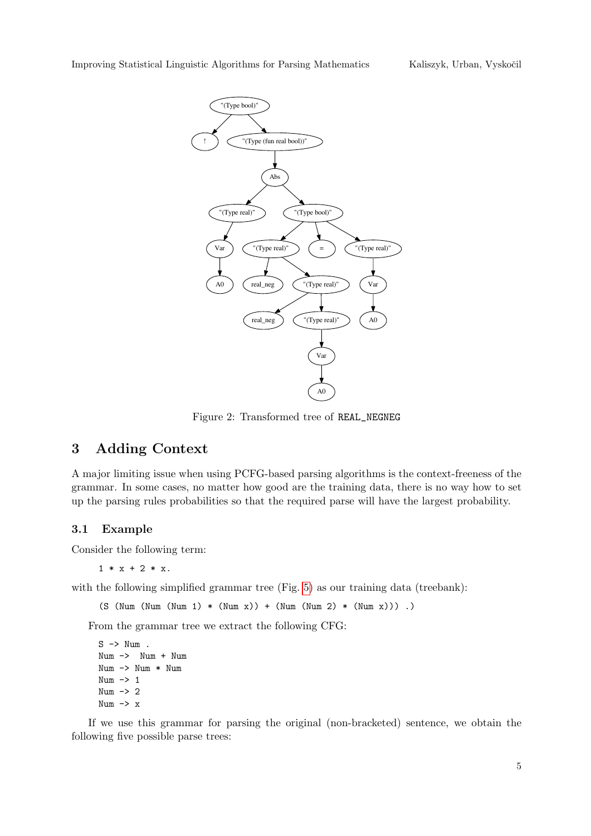<span id="page-4-1"></span>

Figure 2: Transformed tree of REAL\_NEGNEG

# 3 Adding Context

A major limiting issue when using PCFG-based parsing algorithms is the context-freeness of the grammar. In some cases, no matter how good are the training data, there is no way how to set up the parsing rules probabilities so that the required parse will have the largest probability.

### <span id="page-4-0"></span>3.1 Example

Consider the following term:

 $1 * x + 2 * x$ .

with the following simplified grammar tree (Fig. [5\)](#page-6-1) as our training data (treebank):

 $(S (Num (Num (Num 1) * (Num x)) + (Num (Num 2) * (Num x)))$ .

From the grammar tree we extract the following CFG:

S -> Num . Num -> Num + Num Num -> Num \* Num Num -> 1 Num -> 2 Num  $\rightarrow$  x

If we use this grammar for parsing the original (non-bracketed) sentence, we obtain the following five possible parse trees: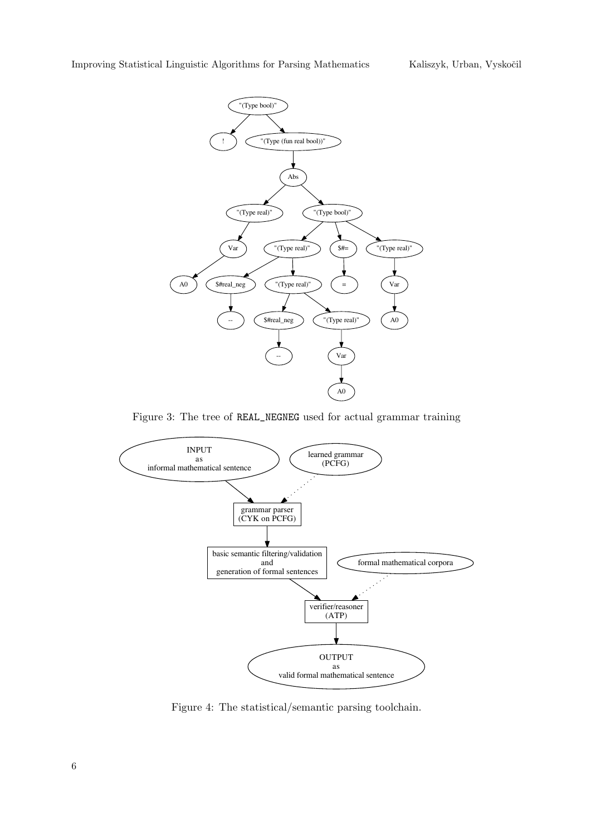<span id="page-5-0"></span>

Figure 3: The tree of REAL\_NEGNEG used for actual grammar training

<span id="page-5-1"></span>

Figure 4: The statistical/semantic parsing toolchain.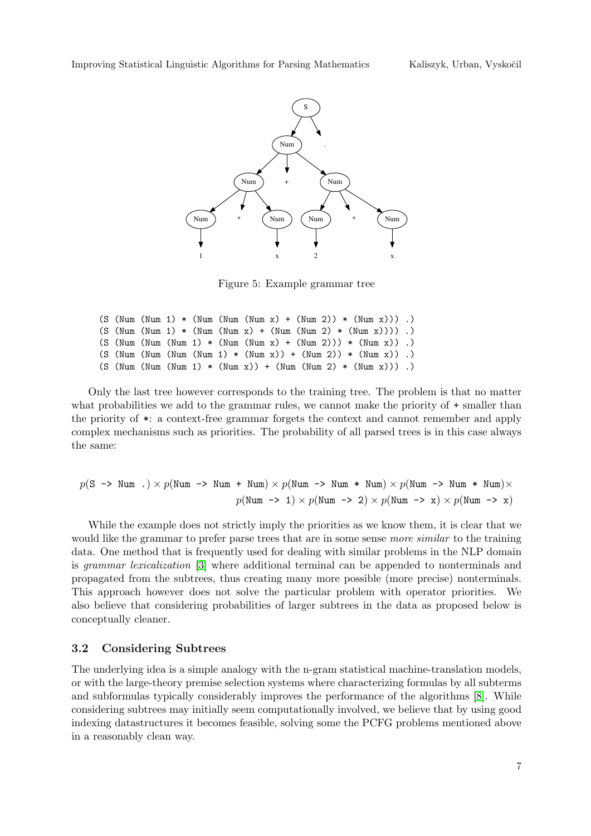<span id="page-6-1"></span>

Figure 5: Example grammar tree

```
(S (Num (Num 1) * (Num (Num (Num x) + (Num 2)) * (Num x))) .)
(S (Num (Num 1) * (Num (Num x) + (Num (Num 2) * (Num x)))) .)
(S (Num (Num (Num 1) * (Num (Num x) + (Num 2))) * (Num x)) .)(S (Num (Num (Num (Num 1) * (Num x)) + (Num 2)) * (Num x)) .)
(S (Num (Num (Num 1) * (Num x)) + (Num (Num 2) * (Num x))) .)
```
Only the last tree however corresponds to the training tree. The problem is that no matter what probabilities we add to the grammar rules, we cannot make the priority of  $+$  smaller than the priority of \*: a context-free grammar forgets the context and cannot remember and apply complex mechanisms such as priorities. The probability of all parsed trees is in this case always the same:

$$
p(S \rightarrow Num \cdot) \times p(Num \rightarrow Num + Num) \times p(Num \rightarrow Num * Num) \times p(Num \rightarrow Num * Num) \times p(Num \rightarrow Num * Num) \times
$$
  

$$
p(Num \rightarrow 1) \times p(Num \rightarrow 2) \times p(Num \rightarrow x) \times p(Num \rightarrow x)
$$

While the example does not strictly imply the priorities as we know them, it is clear that we would like the grammar to prefer parse trees that are in some sense *more similar* to the training data. One method that is frequently used for dealing with similar problems in the NLP domain is grammar lexicalization [\[3\]](#page-8-12) where additional terminal can be appended to nonterminals and propagated from the subtrees, thus creating many more possible (more precise) nonterminals. This approach however does not solve the particular problem with operator priorities. We also believe that considering probabilities of larger subtrees in the data as proposed below is conceptually cleaner.

#### <span id="page-6-0"></span>3.2 Considering Subtrees

The underlying idea is a simple analogy with the n-gram statistical machine-translation models, or with the large-theory premise selection systems where characterizing formulas by all subterms and subformulas typically considerably improves the performance of the algorithms [\[8\]](#page-8-13). While considering subtrees may initially seem computationally involved, we believe that by using good indexing datastructures it becomes feasible, solving some the PCFG problems mentioned above in a reasonably clean way.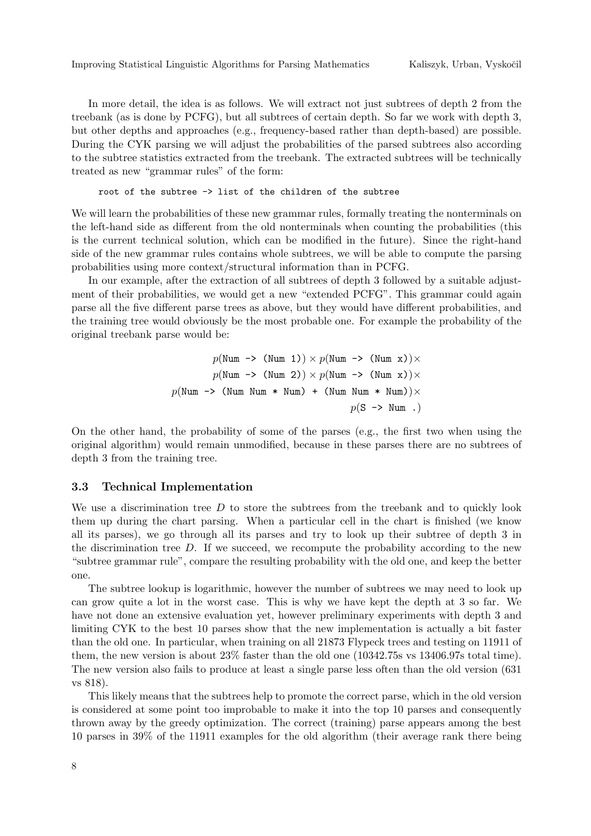In more detail, the idea is as follows. We will extract not just subtrees of depth 2 from the treebank (as is done by PCFG), but all subtrees of certain depth. So far we work with depth 3, but other depths and approaches (e.g., frequency-based rather than depth-based) are possible. During the CYK parsing we will adjust the probabilities of the parsed subtrees also according to the subtree statistics extracted from the treebank. The extracted subtrees will be technically treated as new "grammar rules" of the form:

root of the subtree -> list of the children of the subtree

We will learn the probabilities of these new grammar rules, formally treating the nonterminals on the left-hand side as different from the old nonterminals when counting the probabilities (this is the current technical solution, which can be modified in the future). Since the right-hand side of the new grammar rules contains whole subtrees, we will be able to compute the parsing probabilities using more context/structural information than in PCFG.

In our example, after the extraction of all subtrees of depth 3 followed by a suitable adjustment of their probabilities, we would get a new "extended PCFG". This grammar could again parse all the five different parse trees as above, but they would have different probabilities, and the training tree would obviously be the most probable one. For example the probability of the original treebank parse would be:

$$
p(\text{Num } \rightarrow (\text{Num } 1)) \times p(\text{Num } \rightarrow (\text{Num } x)) \times
$$
  

$$
p(\text{Num } \rightarrow (\text{Num } 2)) \times p(\text{Num } \rightarrow (\text{Num } x)) \times
$$
  

$$
p(\text{Num } \rightarrow (\text{Num } \text{Num } * \text{ Num}) + (\text{Num } \text{Num } * \text{ Num})) \times
$$
  

$$
p(S \rightarrow \text{Num } .)
$$

On the other hand, the probability of some of the parses (e.g., the first two when using the original algorithm) would remain unmodified, because in these parses there are no subtrees of depth 3 from the training tree.

#### <span id="page-7-0"></span>3.3 Technical Implementation

We use a discrimination tree  $D$  to store the subtrees from the treebank and to quickly look them up during the chart parsing. When a particular cell in the chart is finished (we know all its parses), we go through all its parses and try to look up their subtree of depth 3 in the discrimination tree  $D$ . If we succeed, we recompute the probability according to the new "subtree grammar rule", compare the resulting probability with the old one, and keep the better one.

The subtree lookup is logarithmic, however the number of subtrees we may need to look up can grow quite a lot in the worst case. This is why we have kept the depth at 3 so far. We have not done an extensive evaluation yet, however preliminary experiments with depth 3 and limiting CYK to the best 10 parses show that the new implementation is actually a bit faster than the old one. In particular, when training on all 21873 Flypeck trees and testing on 11911 of them, the new version is about 23% faster than the old one (10342.75s vs 13406.97s total time). The new version also fails to produce at least a single parse less often than the old version (631 vs 818).

This likely means that the subtrees help to promote the correct parse, which in the old version is considered at some point too improbable to make it into the top 10 parses and consequently thrown away by the greedy optimization. The correct (training) parse appears among the best 10 parses in 39% of the 11911 examples for the old algorithm (their average rank there being